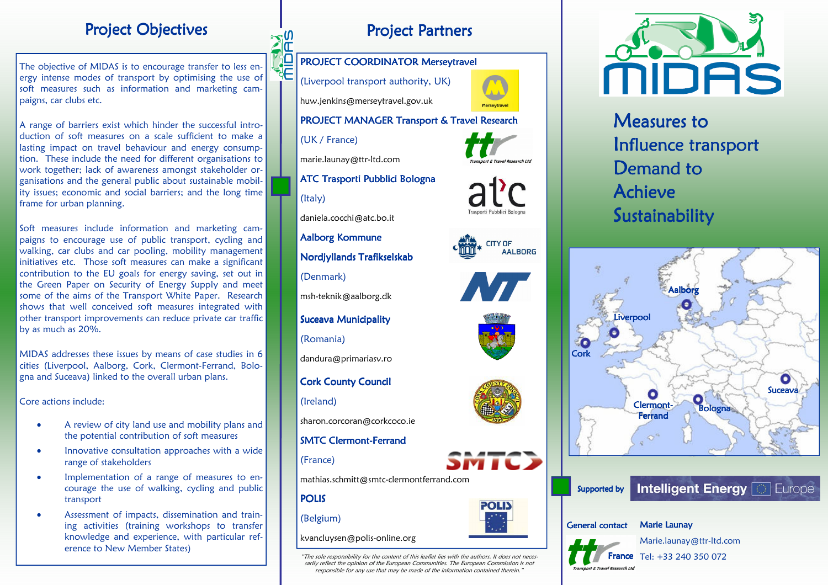# **Project Objectives**

The objective of MIDAS is to encourage transfer to less energy intense modes of transport by optimising the use of soft measures such as information and marketing campaigns, car clubs etc.

A range of barriers exist which hinder the successful introduction of soft measures on a scale sufficient to make a lasting impact on travel behaviour and energy consumption. These include the need for different organisations to work together; lack of awareness amongst stakeholder organisations and the general public about sustainable mobility issues; economic and social barriers; and the long time frame for urban planning.

Soft measures include information and marketing cam paigns to encourage use of public transport, cycling and walking, car clubs and car pooling, mobility management initiatives etc. Those soft measures can make a significant contribution to the EU goals for energy saving, set out in the Green Paper on Security of Energy Supply and meet some of the aims of the Transport White Paper. Research shows that well conceived soft measures integrated with other transport improvements can reduce private car traffic by as much as 20%.

MIDAS addresses these issues by means of case studies in 6 cities (Liverpool, Aalborg, Cork, Clermont-Ferrand, Bologna and Suceava) linked to the overall urban plans.

Core actions include:

- A review of city land use and mobility plans and the potential contribution of soft measures
- Innovative consultation approaches with a wide range of stakeholders
- Implementation of a range of measures to encourage the use of walking, cycling and public transport
- Assessment of impacts, dissemination and training activities (training workshops to transfer knowledge and experience, with particular reference to New Member States)



#### PROJECT COORDINATOR Merseytravel

(Liverpool transport authority, UK) huw.jenkins@merseytravel.gov.uk

#### PROJECT MANAGER Transport & Travel Research

**CITY OF** 

**OLI** 

**AALBORG** 

(UK / France)

marie.launay@ttr-ltd.com

ATC Trasporti Pubblici Bologna

(Italy)

daniela.cocchi@atc.bo.it

Aalborg Kommune

Nordjyllands Trafikselskab

(Denmark)

msh-teknik@aalborg.dk

Suceava Municipality

(Romania)

dandura@primariasv.ro

#### **Cork County Council**

(Ireland)

sharon.corcoran@corkcoco.ie

### SMTC Clermont-Ferrand

(France)

mathias.schmitt@smtc-clermontferrand.com

POLIS

#### (Belgium)

kvancluysen@polis-online.org

"The sole responsibility for the content of this leaflet lies with the authors. It does not necessarily reflect the opinion of the European Communities. The European Commission is not responsible for any use that may be made of the information contained therein.



Measures to Influence transport Demand to Achieve Sustainability





**France** Tel: +33 240 350 072 Marie.launay@ttr-ltd.com